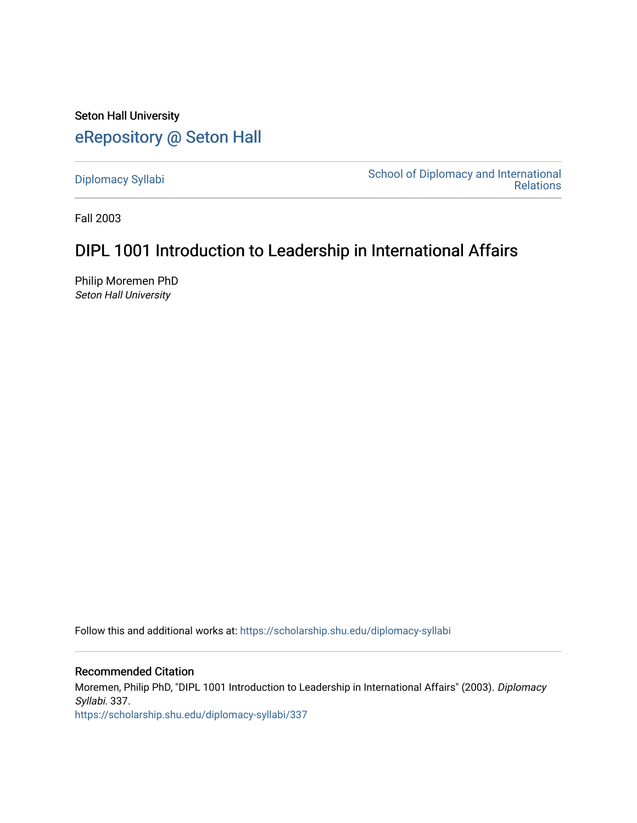Seton Hall University [eRepository @ Seton Hall](https://scholarship.shu.edu/)

[Diplomacy Syllabi](https://scholarship.shu.edu/diplomacy-syllabi) [School of Diplomacy and International](https://scholarship.shu.edu/diplomacy)  [Relations](https://scholarship.shu.edu/diplomacy) 

Fall 2003

# DIPL 1001 Introduction to Leadership in International Affairs

Philip Moremen PhD Seton Hall University

Follow this and additional works at: [https://scholarship.shu.edu/diplomacy-syllabi](https://scholarship.shu.edu/diplomacy-syllabi?utm_source=scholarship.shu.edu%2Fdiplomacy-syllabi%2F337&utm_medium=PDF&utm_campaign=PDFCoverPages) 

Recommended Citation

Moremen, Philip PhD, "DIPL 1001 Introduction to Leadership in International Affairs" (2003). Diplomacy Syllabi. 337. [https://scholarship.shu.edu/diplomacy-syllabi/337](https://scholarship.shu.edu/diplomacy-syllabi/337?utm_source=scholarship.shu.edu%2Fdiplomacy-syllabi%2F337&utm_medium=PDF&utm_campaign=PDFCoverPages)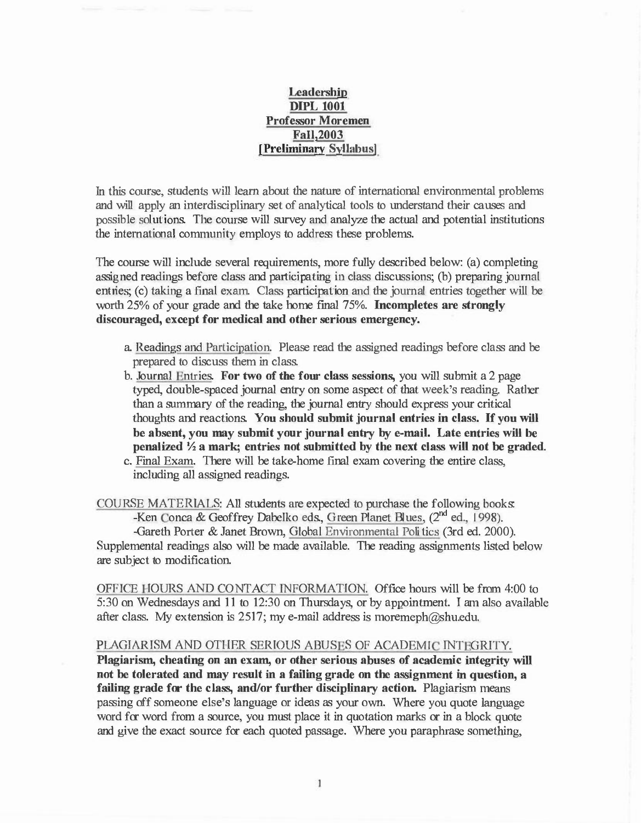# Leadership DIPL 1001 Professor Moremen Fall,2003 [Preliminary Syllabus)

In this course, students will learn about the nature of international environmental problems and will apply an interdisciplinary set of analytical tools to understand their causes and possible solutions. The course will survey and analyze the actual and potential institutions the international community employs to address these problems.

The course will include several requirements, more fully described below: (a) completing assigned readings before class and participating in class discussions; (b) preparing journal entries; (c) taking a final exam. Class participation and the journal entries together will be worth 25% of your grade and the take home final 75%. Incompletes are strongly discouraged, except for medical and other serious emergency.

- a. Readings and Participation. Please read the assigned readings before class and be prepared to discuss them in class.
- b. Journal Entries. For two of the four class sessions, you will submit a 2 page typed, double-spaced journal entry on some aspect of that week's reading. Rather than a summary of the reading, the journal entry should express your critical thoughts and reactions. You should submit journal entries in class. If you will be absent, you may submit your journal entry by e-mail. Late entries will be penalized *Yi* a mark; entries not submitted by the next class will not be graded.
- c. Final Exam. There will be take-home final exam covering the entire class, including all assigned readings.

COUXSE MATERIALS: All students are expected to purchase the following books: -Ken Conca & Geoffrey Dabelko eds., Green Planet Blues,  $(2^{nd}$  ed., 1998).

-Gareth Porter & Janet Brown, Global Environmental Politics (3rd ed. 2000). Supplemental readings also will be made available. The reading assignments listed below are subject to modification.

OFFICE IOURS AND CONTACT INFORMATION. Office hours will be from 4:00 to 5:30 on Wednesdays and 11 to 12 :30 on Thursdays, or by appointment. I am also available after class. My extension is 2517; my e-mail address is moremeph $@$ shu.edu.

#### PLAGIARISM AND OTHER SERIOUS ABUSES OF ACADEMIC INTEGRITY.

Plagiarism, cheating on an exam, or other serious abuses of academic integrity will not be tolerated and may result in a failing grade on the assignment in question, a failing grade for the class, and/or further disciplinary action. Plagiarism means passing off someone else's language or ideas as your own. Where you quote language word for word from a source, you must place it in quotation marks or in a block quote and give the exact source for each quoted passage. Where you paraphrase something,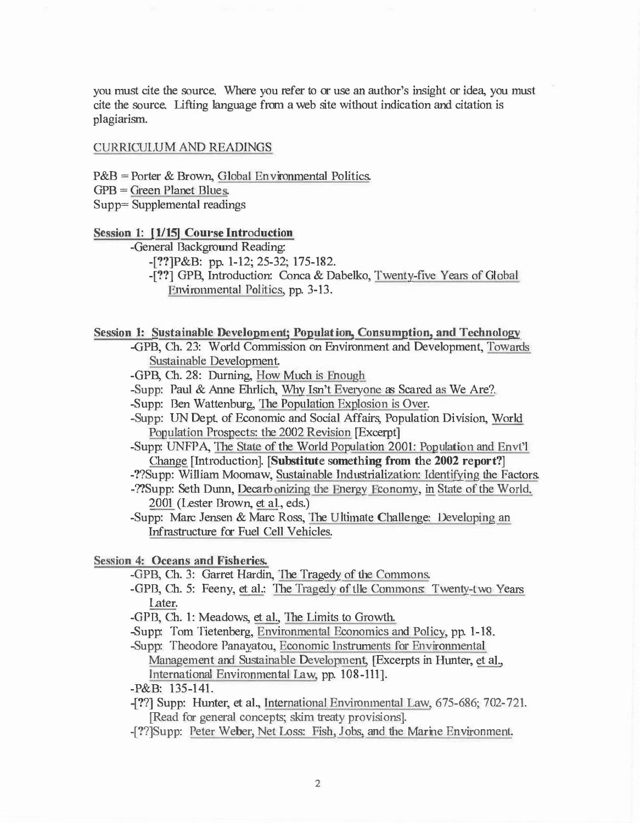you must cite the source. Where you refer to or use an author's insight or idea, you must cite the source. Lifting language from a web site without indication and citation is plagiarism.

## CURRICULUM AND READINGS

 $P&B =$  Porter & Brown, Global Environmental Politics.  $GPB = Green Planet Blues.$ Supp= Supplemental readings

#### Session 1: [1/15] Course Introduction

-General Background Reading:

-[??]P&B: pp. 1-12; 25-32; 175-182.

-[??] GPB, Introduction: Conca & Dabelko, Twenty-five Years of Global Environmental Politics, pp. 3-13.

## Session 1: Sustainable Development; Population, Consumption, and Technology

-GPB, Ch. 23: World Commission on Environment and Development, Towards Sustainable Development.

-GPB, Ch. 28: Durning, How Much is Enough

-Supp: Paul & Anne Ehrlich, Why Isn't Everyone as Scared as We Are?.

-Supp: Ben Wattenburg, The Population Explosion is Over.

-Supp: UN Dept. of Economic and Social Affairs, Population Division, World Population Prospects: the 2002 Revision [Excerpt]

-Supp: UNFPA, The State of the World Population 2001: Population and Envt'l Change [Introduction]. [Substitute something from the 2002 report?]

-??Supp: William Moomaw, Sustainable Industrialization: Identifying the Factors.

-??Supp: Seth Dunn, Decarbonizing the Energy Economy, in State of the World. 2001 (Lester Brown, et al., eds.)

-Supp: Marc Jensen & Marc Ross, The Ultimate Challenge: Developing an Infrastructure for Fuel Cell Vehicles.

Session 4: Oceans and Fisheries.

-GPB, Ch. 3: Garret Hardin, The Tragedy of the Commons.

-GPB, Ch. 5: Feeny, et al.: The Tragedy of the Commons: Twenty-two Years Later.

-GPB, Ch. 1: Meadows, et al., The Limits to Growth.

-Supp: Tom Tietenberg, Environmental Economics and Policy, pp. 1-18 .

-Supp: Theodore Panayatou, Economic Instruments for Environmental Management and Sustainable Development, [Excerpts in Hunter, et al., bltemational Environmental Law, pp. 108-111].

-P&B: 135-141.

-[??] Supp: Hunter, et al., International Enviromnental Law, 675-686; 702- 721. [Read for general concepts; skim treaty provisions].

-[??]Supp: Peter Weber, Net Loss: Fish. Jobs, and the Marine Environment.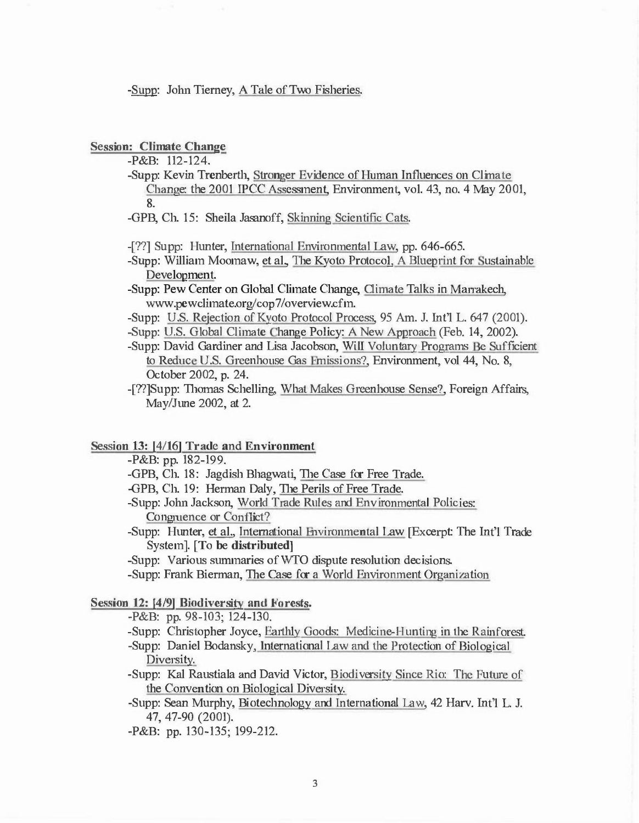-Supp: John Tierney, A Tale of Two Fisheries.

Session: Climate Change

-P&B: 112-124.

- -Supp: Kevin Trenberth, Stronger Evidence of Human Influences on Climate Change: the 2001 IPCC Assessment, Environment, vol. 43, no. 4 May 2001, 8.
- -GPB, Ch. 15: Sheila Jasanoff, Skinning Scientific Cats.
- -[??] Supp: Hunter, International Environmental Law, pp. 646-665.
- -Supp: William Moomaw, et al., The Kyoto Protocol, A Blueprint for Sustainable Development.
- -Supp: Pew Center on Global Climate Change, Climate Talks in Marrakech, www.pewclimate.org/cop7/overview.cfm.
- -Supp: U.S. Rejection of Kyoto Protocol Process, 95 Am. J. lnt'l L. 647 (2001).

-Supp: U.S. Global Climate Change Policy: A New Approach (Feb. 14, 2002).

- -Supp: David Gardiner and Lisa Jacobson, Will Voluntary Programs Be Sufficient to Reduce U.S. Greenhouse Gas Emissions?, Environment, vol 44, No. 8, October 2002, p. 24.
- -[??]Supp: Thomas Schelling, What Makes Greenhouse Sense?, Foreign Affairs, May/June 2002, at 2.

## Session 13: [4/16] Trade and Environment

- -P&B: pp. 182-199.
- -GPB, Ch. 18: Jagdish Bhagwati, The Case for Free Trade.
- -GPB, Ch. 19: Herman Daly, The Perils of Free Trade.
- -Supp: John Jackson, World Trade Rules and Environmental Policies: Congruence or Conflict?
- -Supp: Hunter, et al., International �nvironmental Law [Excerpt: The Int'l Trade System]. [To be distributed)

-Supp: Various summaries of WTO dispute resolution decisions.

-Supp: Frank Bierman, The Case for a World Environment Organization

## Session 12: [4/9) Biodiversity and Forests.

-P&B: pp. 98-103; 124-130.

- -Supp: Christopher Joyce, Earthly Goods: Medicine-Hunting in the Rainforest.
- -Supp: Daniel Bodansky, International Law and the Protection of Biological Diversity.
- -Supp: Kal Raustiala and David Victor, Biodiversity Sjnce Rio: The Future of the Convention on Biological Diversity.
- -Supp: Sean Murphy, Biotechnology and International Law, 42 Harv. Int'l L. J. 47, 47-90 (2001).
- -P&B: pp. 130-135; 199-212.